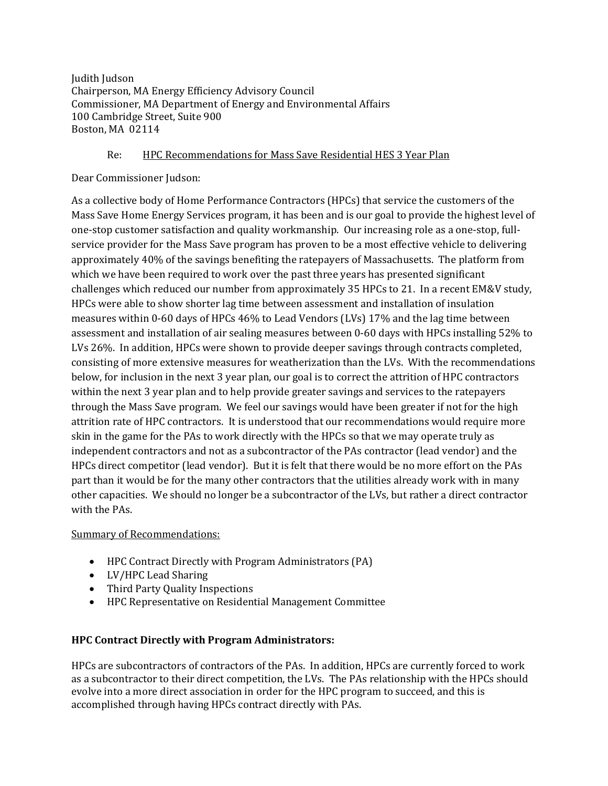Judith Judson Chairperson, MA Energy Efficiency Advisory Council Commissioner, MA Department of Energy and Environmental Affairs 100 Cambridge Street, Suite 900 Boston, MA 02114

## Re: HPC Recommendations for Mass Save Residential HES 3 Year Plan

Dear Commissioner Judson:

As a collective body of Home Performance Contractors (HPCs) that service the customers of the Mass Save Home Energy Services program, it has been and is our goal to provide the highest level of one-stop customer satisfaction and quality workmanship. Our increasing role as a one-stop, fullservice provider for the Mass Save program has proven to be a most effective vehicle to delivering approximately 40% of the savings benefiting the ratepayers of Massachusetts. The platform from which we have been required to work over the past three years has presented significant challenges which reduced our number from approximately 35 HPCs to 21. In a recent EM&V study, HPCs were able to show shorter lag time between assessment and installation of insulation measures within  $0-60$  days of HPCs  $46\%$  to Lead Vendors (LVs) 17% and the lag time between assessment and installation of air sealing measures between 0-60 days with HPCs installing 52% to LVs 26%. In addition, HPCs were shown to provide deeper savings through contracts completed, consisting of more extensive measures for weatherization than the LVs. With the recommendations below, for inclusion in the next 3 year plan, our goal is to correct the attrition of HPC contractors within the next 3 year plan and to help provide greater savings and services to the ratepayers through the Mass Save program. We feel our savings would have been greater if not for the high attrition rate of HPC contractors. It is understood that our recommendations would require more skin in the game for the PAs to work directly with the HPCs so that we may operate truly as independent contractors and not as a subcontractor of the PAs contractor (lead vendor) and the HPCs direct competitor (lead vendor). But it is felt that there would be no more effort on the PAs part than it would be for the many other contractors that the utilities already work with in many other capacities. We should no longer be a subcontractor of the LVs, but rather a direct contractor with the PAs.

Summary of Recommendations:

- HPC Contract Directly with Program Administrators (PA)
- LV/HPC Lead Sharing
- Third Party Quality Inspections
- HPC Representative on Residential Management Committee

# **HPC Contract Directly with Program Administrators:**

HPCs are subcontractors of contractors of the PAs. In addition, HPCs are currently forced to work as a subcontractor to their direct competition, the LVs. The PAs relationship with the HPCs should evolve into a more direct association in order for the HPC program to succeed, and this is accomplished through having HPCs contract directly with PAs.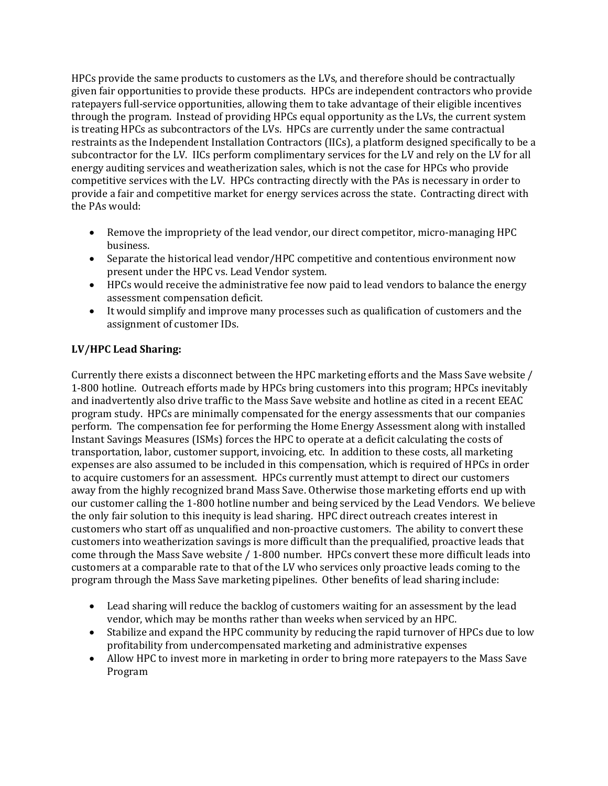HPCs provide the same products to customers as the LVs, and therefore should be contractually given fair opportunities to provide these products. HPCs are independent contractors who provide ratepayers full-service opportunities, allowing them to take advantage of their eligible incentives through the program. Instead of providing HPCs equal opportunity as the LVs, the current system is treating HPCs as subcontractors of the LVs. HPCs are currently under the same contractual restraints as the Independent Installation Contractors (IICs), a platform designed specifically to be a subcontractor for the LV. IICs perform complimentary services for the LV and rely on the LV for all energy auditing services and weatherization sales, which is not the case for HPCs who provide competitive services with the LV. HPCs contracting directly with the PAs is necessary in order to provide a fair and competitive market for energy services across the state. Contracting direct with the PAs would:

- Remove the impropriety of the lead vendor, our direct competitor, micro-managing HPC business.
- Separate the historical lead vendor/HPC competitive and contentious environment now present under the HPC vs. Lead Vendor system.
- HPCs would receive the administrative fee now paid to lead vendors to balance the energy assessment compensation deficit.
- It would simplify and improve many processes such as qualification of customers and the assignment of customer IDs.

### **LV/HPC Lead Sharing:**

Currently there exists a disconnect between the HPC marketing efforts and the Mass Save website / 1-800 hotline. Outreach efforts made by HPCs bring customers into this program; HPCs inevitably and inadvertently also drive traffic to the Mass Save website and hotline as cited in a recent EEAC program study. HPCs are minimally compensated for the energy assessments that our companies perform. The compensation fee for performing the Home Energy Assessment along with installed Instant Savings Measures (ISMs) forces the HPC to operate at a deficit calculating the costs of transportation, labor, customer support, invoicing, etc. In addition to these costs, all marketing expenses are also assumed to be included in this compensation, which is required of HPCs in order to acquire customers for an assessment. HPCs currently must attempt to direct our customers away from the highly recognized brand Mass Save. Otherwise those marketing efforts end up with our customer calling the 1-800 hotline number and being serviced by the Lead Vendors. We believe the only fair solution to this inequity is lead sharing. HPC direct outreach creates interest in customers who start off as unqualified and non-proactive customers. The ability to convert these customers into weatherization savings is more difficult than the prequalified, proactive leads that come through the Mass Save website / 1-800 number. HPCs convert these more difficult leads into customers at a comparable rate to that of the LV who services only proactive leads coming to the program through the Mass Save marketing pipelines. Other benefits of lead sharing include:

- Lead sharing will reduce the backlog of customers waiting for an assessment by the lead vendor, which may be months rather than weeks when serviced by an HPC.
- Stabilize and expand the HPC community by reducing the rapid turnover of HPCs due to low profitability from undercompensated marketing and administrative expenses
- Allow HPC to invest more in marketing in order to bring more ratepayers to the Mass Save Program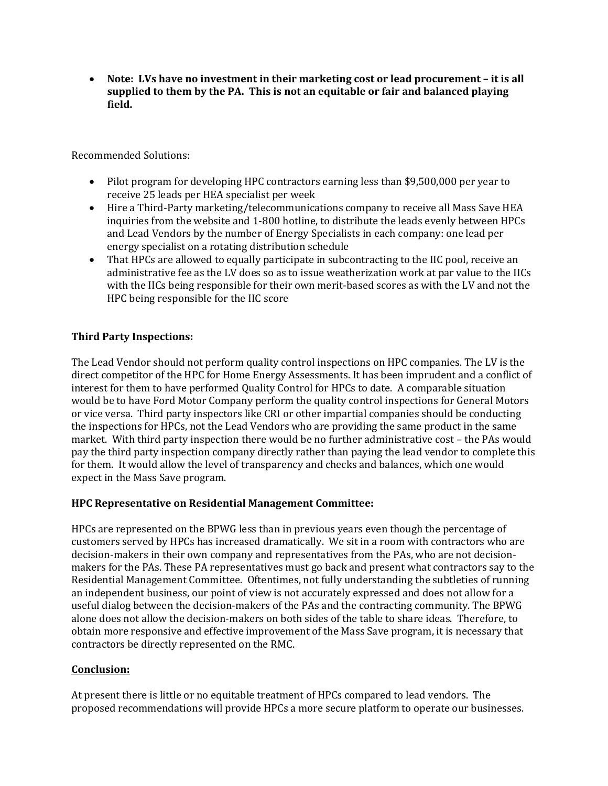**Note: LVs have no investment in their marketing cost or lead procurement – it is all supplied to them by the PA. This is not an equitable or fair and balanced playing field.**

Recommended Solutions: 

- Pilot program for developing HPC contractors earning less than \$9,500,000 per year to receive 25 leads per HEA specialist per week
- Hire a Third-Party marketing/telecommunications company to receive all Mass Save HEA inquiries from the website and 1-800 hotline, to distribute the leads evenly between HPCs and Lead Vendors by the number of Energy Specialists in each company: one lead per energy specialist on a rotating distribution schedule
- That HPCs are allowed to equally participate in subcontracting to the IIC pool, receive an administrative fee as the LV does so as to issue weatherization work at par value to the IICs with the IICs being responsible for their own merit-based scores as with the LV and not the HPC being responsible for the IIC score

### **Third Party Inspections:**

The Lead Vendor should not perform quality control inspections on HPC companies. The LV is the direct competitor of the HPC for Home Energy Assessments. It has been imprudent and a conflict of interest for them to have performed Quality Control for HPCs to date. A comparable situation would be to have Ford Motor Company perform the quality control inspections for General Motors or vice versa. Third party inspectors like CRI or other impartial companies should be conducting the inspections for HPCs, not the Lead Vendors who are providing the same product in the same market. With third party inspection there would be no further administrative cost – the PAs would pay the third party inspection company directly rather than paying the lead vendor to complete this for them. It would allow the level of transparency and checks and balances, which one would expect in the Mass Save program.

#### **HPC Representative on Residential Management Committee:**

HPCs are represented on the BPWG less than in previous years even though the percentage of customers served by HPCs has increased dramatically. We sit in a room with contractors who are decision-makers in their own company and representatives from the PAs, who are not decisionmakers for the PAs. These PA representatives must go back and present what contractors say to the Residential Management Committee. Oftentimes, not fully understanding the subtleties of running an independent business, our point of view is not accurately expressed and does not allow for a useful dialog between the decision-makers of the PAs and the contracting community. The BPWG alone does not allow the decision-makers on both sides of the table to share ideas. Therefore, to obtain more responsive and effective improvement of the Mass Save program, it is necessary that contractors be directly represented on the RMC.

#### **Conclusion:**

At present there is little or no equitable treatment of HPCs compared to lead vendors. The proposed recommendations will provide HPCs a more secure platform to operate our businesses.